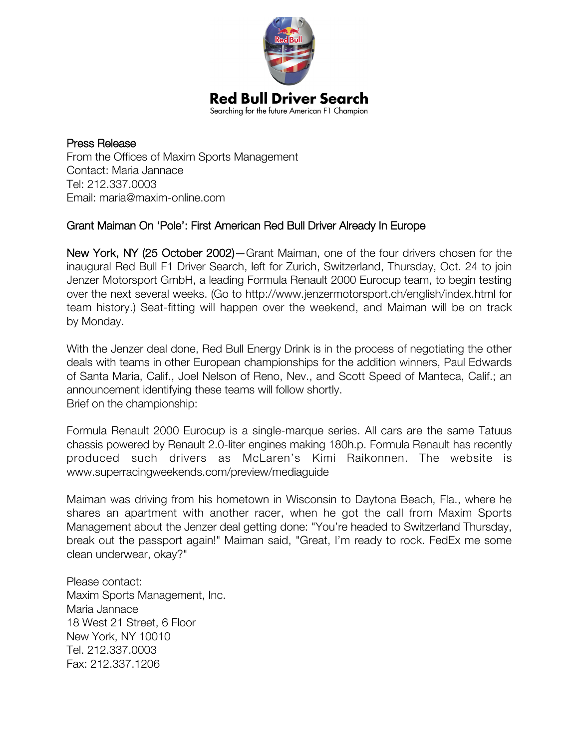

Press Release From the Offices of Maxim Sports Management Contact: Maria Jannace Tel: 212.337.0003 Email: maria@maxim-online.com

## Grant Maiman On 'Pole': First American Red Bull Driver Already In Europe

New York, NY (25 October 2002)—Grant Maiman, one of the four drivers chosen for the inaugural Red Bull F1 Driver Search, left for Zurich, Switzerland, Thursday, Oct. 24 to join Jenzer Motorsport GmbH, a leading Formula Renault 2000 Eurocup team, to begin testing over the next several weeks. (Go to http://www.jenzermotorsport.ch/english/index.html for team history.) Seat-fitting will happen over the weekend, and Maiman will be on track by Monday.

With the Jenzer deal done, Red Bull Energy Drink is in the process of negotiating the other deals with teams in other European championships for the addition winners, Paul Edwards of Santa Maria, Calif., Joel Nelson of Reno, Nev., and Scott Speed of Manteca, Calif.; an announcement identifying these teams will follow shortly. Brief on the championship:

Formula Renault 2000 Eurocup is a single-marque series. All cars are the same Tatuus chassis powered by Renault 2.0-liter engines making 180h.p. Formula Renault has recently produced such drivers as McLaren's Kimi Raikonnen. The website is www.superracingweekends.com/preview/mediaguide

Maiman was driving from his hometown in Wisconsin to Daytona Beach, Fla., where he shares an apartment with another racer, when he got the call from Maxim Sports Management about the Jenzer deal getting done: "You're headed to Switzerland Thursday, break out the passport again!" Maiman said, "Great, I'm ready to rock. FedEx me some clean underwear, okay?"

Please contact: Maxim Sports Management, Inc. Maria Jannace 18 West 21 Street, 6 Floor New York, NY 10010 Tel. 212.337.0003 Fax: 212.337.1206